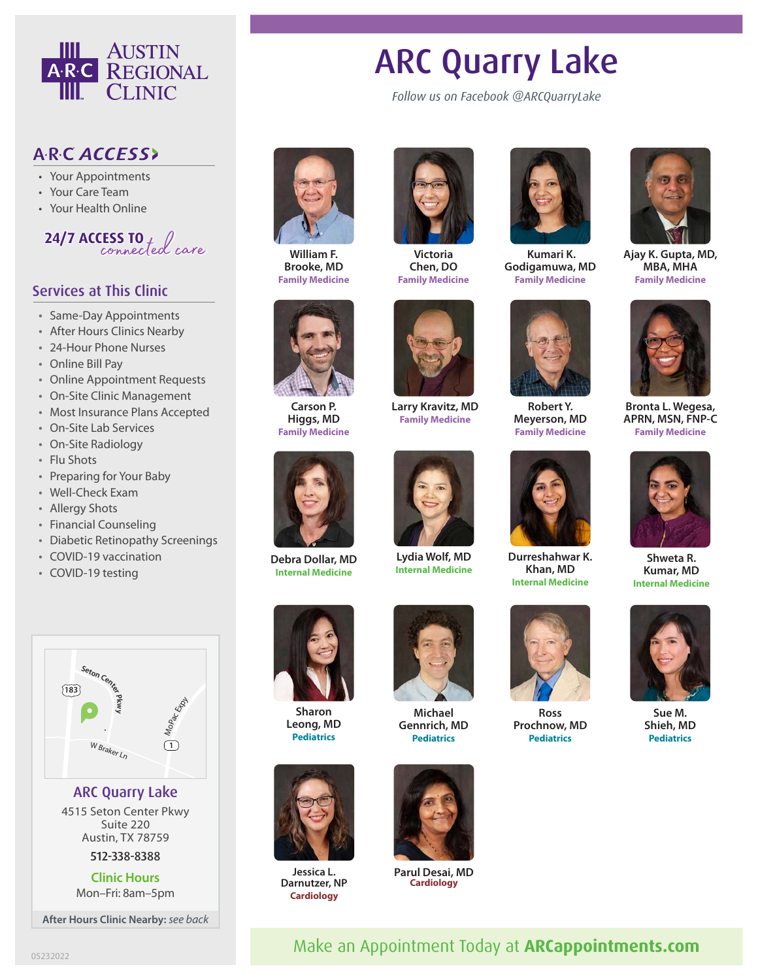

## ARC ACCESS>

- Your Appointments
- Your Care Team
- Your Health Online



## Services at This Clinic

- Same-Day Appointments
- After Hours Clinics Nearby
- 24-Hour Phone Nurses
- Online Bill Pay
- Online Appointment Requests
- On-Site Clinic Management
- Most Insurance Plans Accepted
- On-Site Lab Services
- On-Site Radiology
- Flu Shots
- Preparing for Your Baby
- Well-Check Exam
- Allergy Shots
- Financial Counseling
- Diabetic Retinopathy Screenings
- COVID-19 vaccination

<sup>W</sup> <sup>B</sup><sup>r</sup>ake<sup>r</sup> <sup>L</sup><sup>n</sup>

**Pkwy**

ARC Quarry Lake 4515 Seton Center Pkwy Suite 220 Austin, TX 78759 512-338-8388 **Clinic Hours** Mon–Fri: 8am–5pm

**After Hours Clinic Nearby:** *see back*

I Mopac Exp

 $\sqrt{1}$ 

**<sup>S</sup>eto<sup>n</sup> <sup>C</sup>ente<sup>r</sup>**

• COVID-19 testing

**183**



**William F. Brooke, MD Family Medicine**



**Victoria Chen, DO Family Medicine**



*Follow us on Facebook @ARCQuarryLake*

ARC Quarry Lake

 **Kumari K. Godigamuwa, MD Family Medicine**



**Ajay K. Gupta, MD, MBA, MHA Family Medicine**



**Carson P. Higgs, MD Family Medicine**



**Larry Kravitz, MD Family Medicine**



**Lydia Wolf, MD Internal Medicine**



**Durreshahwar K. Khan, MD Internal Medicine**



**Ross Pediatrics**



**Bronta L. Wegesa, APRN, MSN, FNP-C Family Medicine**



**Shweta R. Kumar, MD Internal Medicine**



**Sue M. Shieh, MD Pediatrics**



**Debra Dollar, MD Internal Medicine**

> **Sharon Leong, MD Pediatrics**



**Jessica L. Darnutzer, NP Cardiology**



**Michael Gennrich, MD Pediatrics**



**Parul Desai, MD Cardiology**



**Prochnow, MD**